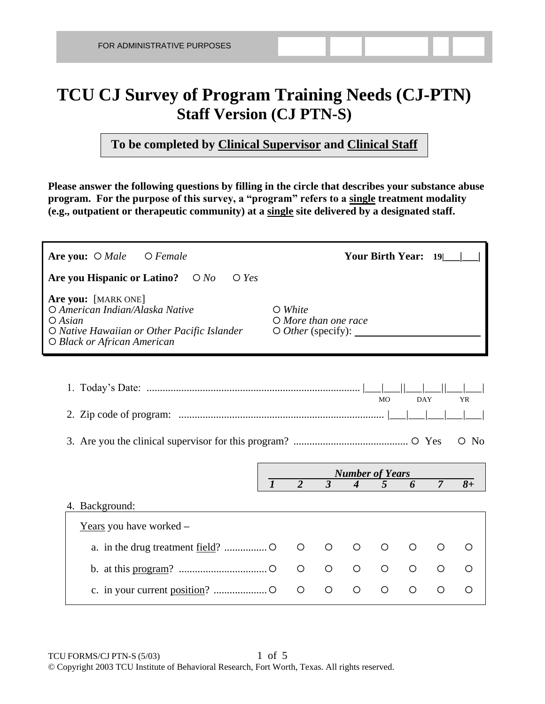## **TCU CJ Survey of Program Training Needs (CJ-PTN) Staff Version (CJ PTN-S)**

**To be completed by Clinical Supervisor and Clinical Staff**

**Please answer the following questions by filling in the circle that describes your substance abuse program. For the purpose of this survey, a "program" refers to a single treatment modality (e.g., outpatient or therapeutic community) at a single site delivered by a designated staff.** 

| Are you: $\bigcirc$ Male<br>$O$ Female                                                                                                            |              |                                                   |              |                           |           | <b>Your Birth Year:</b> | 19 <sup>l</sup> |                      |
|---------------------------------------------------------------------------------------------------------------------------------------------------|--------------|---------------------------------------------------|--------------|---------------------------|-----------|-------------------------|-----------------|----------------------|
| Are you Hispanic or Latino?<br>$\bigcirc$ Yes<br>$\bigcirc$ No                                                                                    |              |                                                   |              |                           |           |                         |                 |                      |
| Are you: [MARK ONE]<br>O American Indian/Alaska Native<br>$O$ Asian<br>O Native Hawaiian or Other Pacific Islander<br>O Black or African American |              | $\bigcirc$ White<br>$\bigcirc$ More than one race |              |                           |           |                         |                 |                      |
|                                                                                                                                                   |              |                                                   |              |                           | <b>MO</b> | <b>DAY</b>              |                 | <b>YR</b>            |
|                                                                                                                                                   |              |                                                   |              |                           |           |                         |                 |                      |
| $\circ$ No                                                                                                                                        |              |                                                   |              |                           |           |                         |                 |                      |
|                                                                                                                                                   |              |                                                   |              | <b>Number of Years</b>    |           |                         |                 |                      |
|                                                                                                                                                   | $\mathbf{I}$ | $\overline{2}$                                    | $\mathbf{3}$ | $\boldsymbol{\varLambda}$ |           |                         | $\overline{7}$  | $\overline{\delta+}$ |
| 4. Background:                                                                                                                                    |              |                                                   |              |                           |           |                         |                 |                      |
| Years you have worked -                                                                                                                           |              |                                                   |              |                           |           |                         |                 |                      |
|                                                                                                                                                   |              | $\circ$                                           | $\circ$      | ◯                         | O         | O                       | O               | O                    |
|                                                                                                                                                   |              | $\circ$                                           | $\circ$      | $\circ$                   | $\circ$   | $\circ$                 | ◯               | $\circ$              |
|                                                                                                                                                   |              |                                                   |              |                           |           |                         |                 |                      |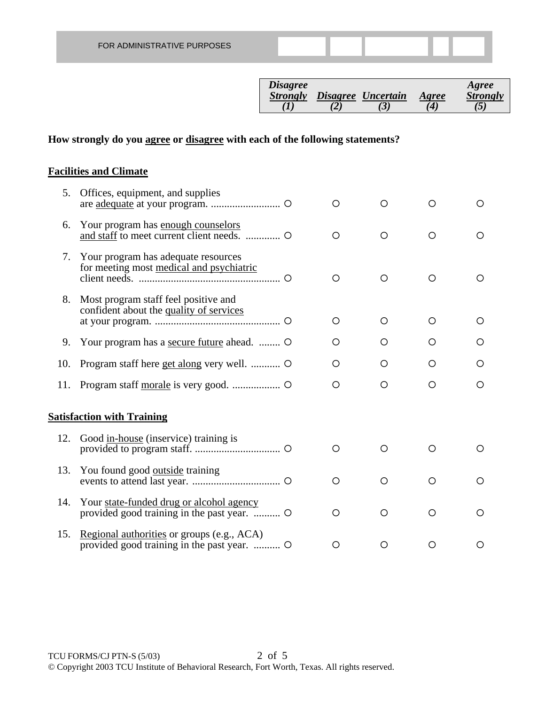| <i><b>Disagree</b></i><br><b>Strongly</b> |     | Disagree Uncertain | Agree        | Agree<br><b>Strongly</b> |
|-------------------------------------------|-----|--------------------|--------------|--------------------------|
|                                           | (2) | 3)                 | $\mathbf{A}$ | $5^{\circ}$              |

## **How strongly do you agree or disagree with each of the following statements?**

## **Facilities and Climate**

| 5.  | Offices, equipment, and supplies                                                          | ◯ | ∩       | ∩       | O |
|-----|-------------------------------------------------------------------------------------------|---|---------|---------|---|
| 6.  | Your program has enough counselors                                                        | O | $\circ$ | $\circ$ | O |
| 7.  | Your program has adequate resources<br>for meeting most medical and psychiatric           | O | $\circ$ | O       | O |
| 8.  | Most program staff feel positive and<br>confident about the quality of services           | O | O       | O       | O |
| 9.  | Your program has a secure future ahead.  O                                                | O | O       | O       | O |
| 10. |                                                                                           | O | O       | O       | O |
| 11. |                                                                                           | O | O       | O       | O |
|     | <b>Satisfaction with Training</b>                                                         |   |         |         |   |
| 12. | Good in-house (inservice) training is                                                     | O | ∩       | ◯       | ◯ |
| 13. | You found good outside training                                                           | O | ◯       | O       | O |
| 14. | Your state-funded drug or alcohol agency<br>provided good training in the past year.  O   | O | O       | O       | O |
| 15. | Regional authorities or groups (e.g., ACA)<br>provided good training in the past year.  O | O | ∩       | ∩       | O |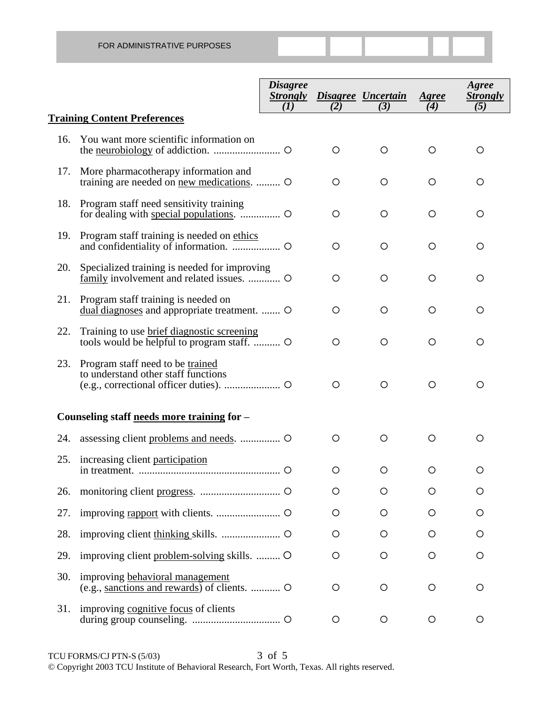|     |                                                                                           | <b>Disagree</b><br><b>Strongly</b><br>(I) | (2)     | Disagree Uncertain<br>(3) | Agree<br>(4) | Agree<br><b>Strongly</b><br>(5) |
|-----|-------------------------------------------------------------------------------------------|-------------------------------------------|---------|---------------------------|--------------|---------------------------------|
|     | <b>Training Content Preferences</b>                                                       |                                           |         |                           |              |                                 |
| 16. | You want more scientific information on                                                   |                                           | O       | $\circ$                   | O            | $\circ$                         |
| 17. | More pharmacotherapy information and<br>training are needed on new medications.  O        |                                           | O       | O                         | $\circ$      | O                               |
| 18. | Program staff need sensitivity training                                                   |                                           | O       | $\circ$                   | $\circ$      | O                               |
| 19. | Program staff training is needed on ethics                                                |                                           | $\circ$ | $\circ$                   | $\circ$      | O                               |
| 20. | Specialized training is needed for improving<br>family involvement and related issues.  O |                                           | O       | $\circ$                   | $\circ$      | O                               |
| 21. | Program staff training is needed on<br>dual diagnoses and appropriate treatment.  O       |                                           | O       | $\circ$                   | $\circ$      | O                               |
| 22. | Training to use brief diagnostic screening                                                |                                           | $\circ$ | $\circ$                   | $\circ$      | O                               |
| 23. | Program staff need to be trained<br>to understand other staff functions                   |                                           | $\circ$ | $\circ$                   | $\circ$      | $\circ$                         |
|     | Counseling staff needs more training for -                                                |                                           |         |                           |              |                                 |
| 24. |                                                                                           |                                           | O       | $\circ$                   | O            | $\circ$                         |
| 25. | increasing client participation                                                           |                                           | $\circ$ | $\circ$                   | O            | O                               |
| 26. |                                                                                           |                                           | O       | O                         | O            | O                               |
| 27. |                                                                                           |                                           | O       | O                         | O            | O                               |
| 28. |                                                                                           |                                           | O       | O                         | O            | O                               |
| 29. | improving client problem-solving skills.  O                                               |                                           | O       | $\circ$                   | O            | O                               |
| 30. | improving behavioral management<br>(e.g., sanctions and rewards) of clients.  O           |                                           | O       | O                         | O            | O                               |
| 31. | improving cognitive focus of clients                                                      |                                           | O       | O                         | O            | O                               |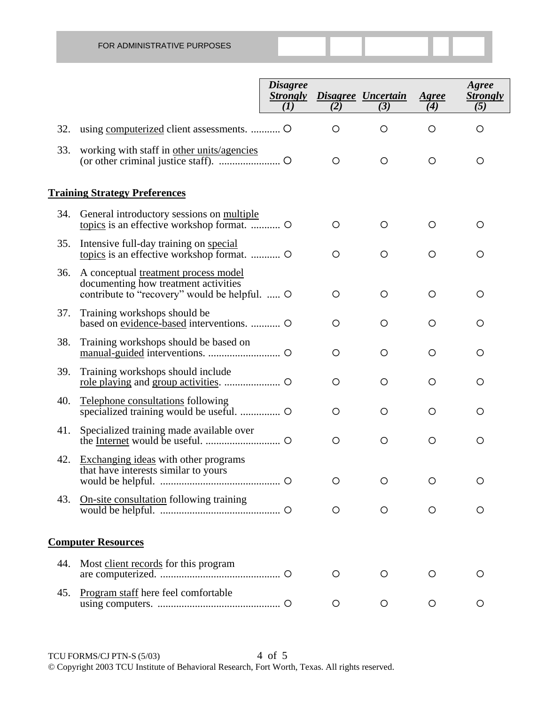|     |                                                                                                                            | <i><b>Disagree</b></i><br><b>Strongly</b><br>(I) | (2)     | Disagree Uncertain<br>(3) | Agree<br>(4) | Agree<br><b>Strongly</b><br>(5) |
|-----|----------------------------------------------------------------------------------------------------------------------------|--------------------------------------------------|---------|---------------------------|--------------|---------------------------------|
| 32. |                                                                                                                            |                                                  | $\circ$ | $\circ$                   | $\circ$      | $\circ$                         |
| 33. | working with staff in other units/agencies                                                                                 |                                                  | $\circ$ | $\circ$                   | $\circ$      | O                               |
|     | <b>Training Strategy Preferences</b>                                                                                       |                                                  |         |                           |              |                                 |
| 34. | General introductory sessions on multiple                                                                                  |                                                  | O       | $\circ$                   | $\circ$      | O                               |
| 35. | Intensive full-day training on special<br>topics is an effective workshop format.  O                                       |                                                  | O       | O                         | O            | O                               |
| 36. | A conceptual treatment process model<br>documenting how treatment activities<br>contribute to "recovery" would be helpful. |                                                  | $\circ$ | $\circ$                   | $\circ$      | O                               |
| 37. | Training workshops should be<br>based on evidence-based interventions.  O                                                  |                                                  | O       | $\circ$                   | O            | O                               |
| 38. | Training workshops should be based on                                                                                      |                                                  | $\circ$ | $\circ$                   | $\circ$      | O                               |
| 39. | Training workshops should include                                                                                          |                                                  | O       | O                         | O            | O                               |
| 40. | Telephone consultations following                                                                                          |                                                  | $\circ$ | $\circ$                   | $\circ$      | O                               |
| 41. | Specialized training made available over                                                                                   |                                                  | O       | $\circ$                   | O            | O                               |
| 42. | <b>Exchanging ideas</b> with other programs<br>that have interests similar to yours                                        |                                                  | O       | O                         | O            | O                               |
| 43. | On-site consultation following training                                                                                    |                                                  | O       | O                         | O            | $\circ$                         |
|     | <b>Computer Resources</b>                                                                                                  |                                                  |         |                           |              |                                 |
| 44. | Most client records for this program                                                                                       |                                                  | O       | O                         | $\circ$      | O                               |
| 45. | Program staff here feel comfortable                                                                                        |                                                  | O       | O                         | $\circ$      | O                               |